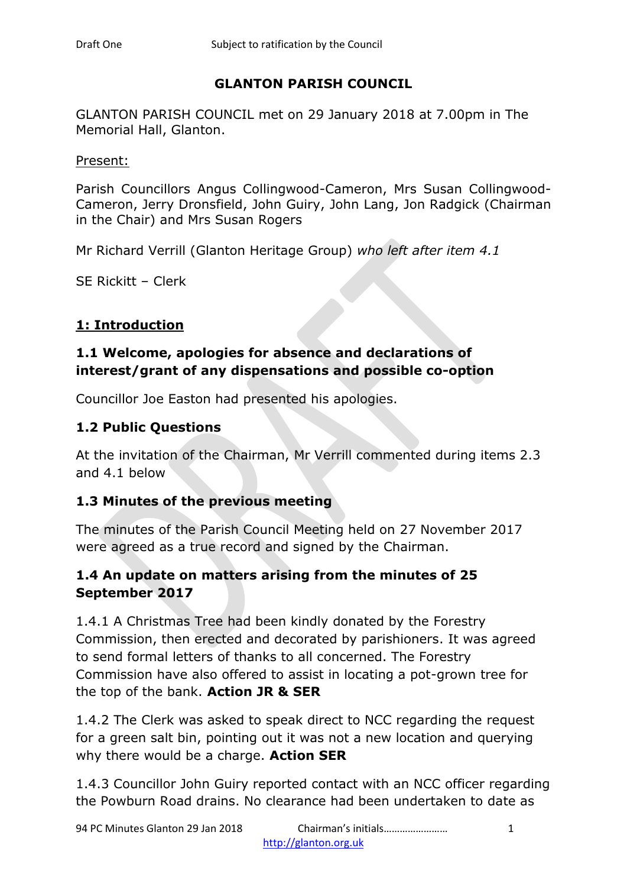### **GLANTON PARISH COUNCIL**

GLANTON PARISH COUNCIL met on 29 January 2018 at 7.00pm in The Memorial Hall, Glanton.

Present:

Parish Councillors Angus Collingwood-Cameron, Mrs Susan Collingwood-Cameron, Jerry Dronsfield, John Guiry, John Lang, Jon Radgick (Chairman in the Chair) and Mrs Susan Rogers

Mr Richard Verrill (Glanton Heritage Group) *who left after item 4.1*

SE Rickitt – Clerk

#### **1: Introduction**

### **1.1 Welcome, apologies for absence and declarations of interest/grant of any dispensations and possible co-option**

Councillor Joe Easton had presented his apologies.

#### **1.2 Public Questions**

At the invitation of the Chairman, Mr Verrill commented during items 2.3 and 4.1 below

#### **1.3 Minutes of the previous meeting**

The minutes of the Parish Council Meeting held on 27 November 2017 were agreed as a true record and signed by the Chairman.

## **1.4 An update on matters arising from the minutes of 25 September 2017**

1.4.1 A Christmas Tree had been kindly donated by the Forestry Commission, then erected and decorated by parishioners. It was agreed to send formal letters of thanks to all concerned. The Forestry Commission have also offered to assist in locating a pot-grown tree for the top of the bank. **Action JR & SER**

1.4.2 The Clerk was asked to speak direct to NCC regarding the request for a green salt bin, pointing out it was not a new location and querying why there would be a charge. **Action SER**

1.4.3 Councillor John Guiry reported contact with an NCC officer regarding the Powburn Road drains. No clearance had been undertaken to date as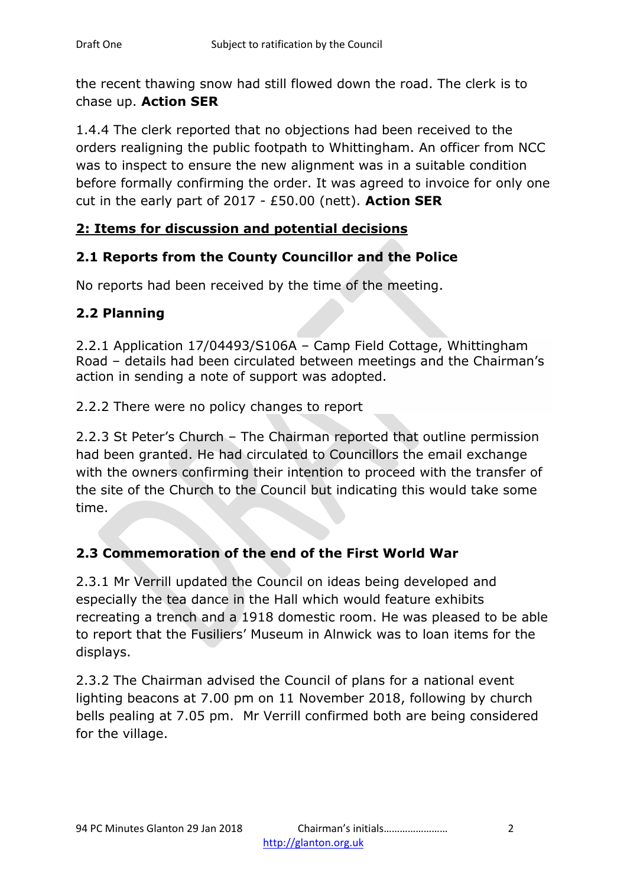the recent thawing snow had still flowed down the road. The clerk is to chase up. **Action SER**

1.4.4 The clerk reported that no objections had been received to the orders realigning the public footpath to Whittingham. An officer from NCC was to inspect to ensure the new alignment was in a suitable condition before formally confirming the order. It was agreed to invoice for only one cut in the early part of 2017 - £50.00 (nett). **Action SER**

# **2: Items for discussion and potential decisions**

# **2.1 Reports from the County Councillor and the Police**

No reports had been received by the time of the meeting.

# **2.2 Planning**

2.2.1 Application 17/04493/S106A – Camp Field Cottage, Whittingham Road – details had been circulated between meetings and the Chairman's action in sending a note of support was adopted.

2.2.2 There were no policy changes to report

2.2.3 St Peter's Church – The Chairman reported that outline permission had been granted. He had circulated to Councillors the email exchange with the owners confirming their intention to proceed with the transfer of the site of the Church to the Council but indicating this would take some time.

# **2.3 Commemoration of the end of the First World War**

2.3.1 Mr Verrill updated the Council on ideas being developed and especially the tea dance in the Hall which would feature exhibits recreating a trench and a 1918 domestic room. He was pleased to be able to report that the Fusiliers' Museum in Alnwick was to loan items for the displays.

2.3.2 The Chairman advised the Council of plans for a national event lighting beacons at 7.00 pm on 11 November 2018, following by church bells pealing at 7.05 pm. Mr Verrill confirmed both are being considered for the village.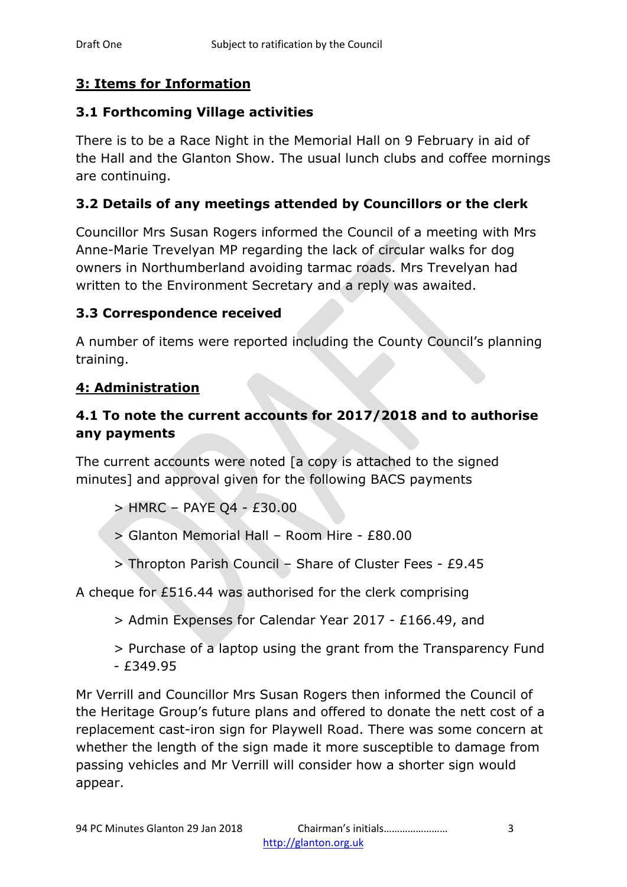# **3: Items for Information**

#### **3.1 Forthcoming Village activities**

There is to be a Race Night in the Memorial Hall on 9 February in aid of the Hall and the Glanton Show. The usual lunch clubs and coffee mornings are continuing.

### **3.2 Details of any meetings attended by Councillors or the clerk**

Councillor Mrs Susan Rogers informed the Council of a meeting with Mrs Anne-Marie Trevelyan MP regarding the lack of circular walks for dog owners in Northumberland avoiding tarmac roads. Mrs Trevelyan had written to the Environment Secretary and a reply was awaited.

### **3.3 Correspondence received**

A number of items were reported including the County Council's planning training.

#### **4: Administration**

# **4.1 To note the current accounts for 2017/2018 and to authorise any payments**

The current accounts were noted [a copy is attached to the signed minutes] and approval given for the following BACS payments

- > HMRC PAYE Q4 £30.00
- > Glanton Memorial Hall Room Hire £80.00
- > Thropton Parish Council Share of Cluster Fees £9.45

A cheque for £516.44 was authorised for the clerk comprising

- > Admin Expenses for Calendar Year 2017 £166.49, and
- > Purchase of a laptop using the grant from the Transparency Fund  $- E349.95$

Mr Verrill and Councillor Mrs Susan Rogers then informed the Council of the Heritage Group's future plans and offered to donate the nett cost of a replacement cast-iron sign for Playwell Road. There was some concern at whether the length of the sign made it more susceptible to damage from passing vehicles and Mr Verrill will consider how a shorter sign would appear.